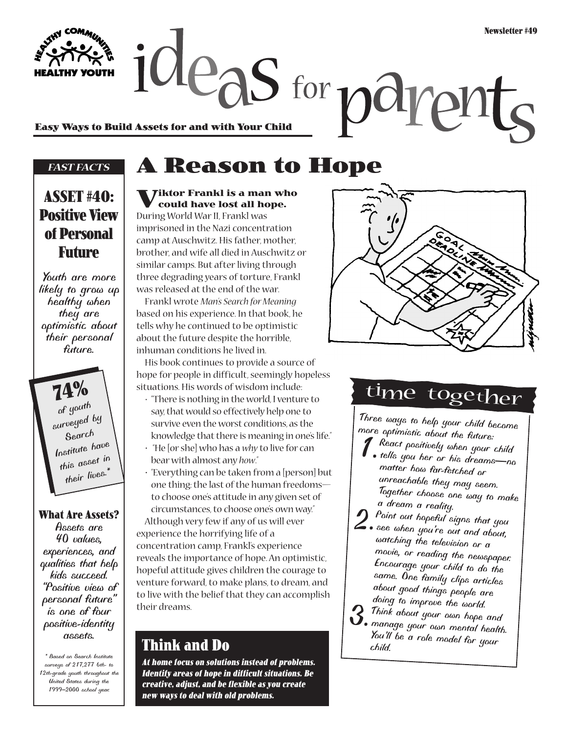$deg_{\mathcal{S}}$  for  $poly$ **Easy Ways to Build Assets for and with Your Child**

#### *FAST FACTS*

## **ASSET #40: Positive View of Personal Future**

*Youth are more likely to grow up healthy when they are optimistic about their personal future.*

**74%** *of youth surveyed by Search Institute have this asset in their lives.\**

#### **What Are Assets?**

*Assets are 40 values, experiences, and qualities that help kids succeed. "Positive view of personal future" is one of four positive-identity assets.*

*\* Based on Search Institute surveys of 217,277 6th- to 12th-grade youth throughout the United States during the 1999–2000 school year.*

## **A Reason to Hope**

#### **Viktor Frankl is a man who could have lost all hope.**

During World War II, Frankl was imprisoned in the Nazi concentration camp at Auschwitz. His father, mother, brother, and wife all died in Auschwitz or similar camps. But after living through three degrading years of torture, Frankl was released at the end of the war.

Frankl wrote *Man's Search for Meaning* based on his experience. In that book, he tells why he continued to be optimistic about the future despite the horrible, inhuman conditions he lived in.

His book continues to provide a source of hope for people in difficult, seemingly hopeless situations. His words of wisdom include:

- "There is nothing in the world, I venture to say, that would so effectively help one to survive even the worst conditions, as the knowledge that there is meaning in one's life."
- "He [or she] who has a *why* to live for can bear with almost any *how*."
- "Everything can be taken from a [person] but one thing: the last of the human freedoms to choose one's attitude in any given set of circumstances, to choose one's own way." Although very few if any of us will ever experience the horrifying life of a concentration camp, Frankl's experience reveals the importance of hope. An optimistic, hopeful attitude gives children the courage to venture forward, to make plans, to dream, and to live with the belief that they can accomplish their dreams.

### **Think and Do**

**At home focus on solutions instead of problems. Identify areas of hope in difficult situations. Be creative, adjust, and be flexible as you create new ways to deal with old problems.**



pht

## time together

*Three ways to help your child become more optimistic about the future:*

- *1.React positively when your child tells you her or his dreams—no matter how far-fetched or unreachable they may seem. Together choose one way to make a dream a reality.*
- *2.Point out hopeful signs that you see when you're out and about, watching the television or a movie, or reading the newspaper. Encourage your child to do the same. One family clips articles about good things people are doing to improve the world.*
- *3.Think about your own hope and manage your own mental health. You'll be a role model for your child.*